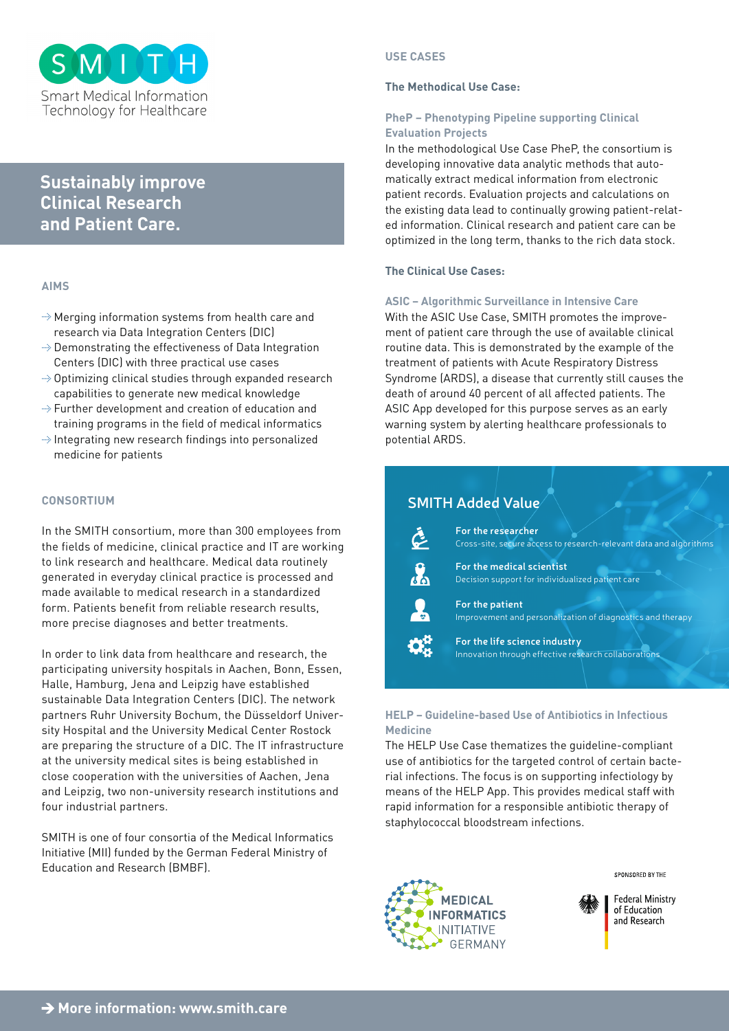

# **Sustainably improve Clinical Research and Patient Care.**

## **AIMS**

- $\rightarrow$  Merging information systems from health care and research via Data Integration Centers (DIC)
- $\rightarrow$  Demonstrating the effectiveness of Data Integration Centers (DIC) with three practical use cases
- $\rightarrow$  Optimizing clinical studies through expanded research capabilities to generate new medical knowledge
- $\rightarrow$  Further development and creation of education and training programs in the field of medical informatics
- $\rightarrow$  Integrating new research findings into personalized medicine for patients

## **CONSORTIUM**

In the SMITH consortium, more than 300 employees from the fields of medicine, clinical practice and IT are working to link research and healthcare. Medical data routinely generated in everyday clinical practice is processed and made available to medical research in a standardized form. Patients benefit from reliable research results, more precise diagnoses and better treatments.

In order to link data from healthcare and research, the participating university hospitals in Aachen, Bonn, Essen, Halle, Hamburg, Jena and Leipzig have established sustainable Data Integration Centers (DIC). The network partners Ruhr University Bochum, the Düsseldorf University Hospital and the University Medical Center Rostock are preparing the structure of a DIC. The IT infrastructure at the university medical sites is being established in close cooperation with the universities of Aachen, Jena and Leipzig, two non-university research institutions and four industrial partners.

SMITH is one of four consortia of the Medical Informatics Initiative (MII) funded by the German Federal Ministry of Education and Research (BMBF).

## **USE CASES**

## **The Methodical Use Case:**

## **PheP – Phenotyping Pipeline supporting Clinical Evaluation Projects**

In the methodological Use Case PheP, the consortium is developing innovative data analytic methods that automatically extract medical information from electronic patient records. Evaluation projects and calculations on the existing data lead to continually growing patient-related information. Clinical research and patient care can be optimized in the long term, thanks to the rich data stock.

## **The Clinical Use Cases:**

## **ASIC – Algorithmic Surveillance in Intensive Care**

With the ASIC Use Case, SMITH promotes the improvement of patient care through the use of available clinical routine data. This is demonstrated by the example of the treatment of patients with Acute Respiratory Distress Syndrome (ARDS), a disease that currently still causes the death of around 40 percent of all affected patients. The ASIC App developed for this purpose serves as an early warning system by alerting healthcare professionals to potential ARDS.

| <b>SMITH Added Value</b> |                                                                                          |
|--------------------------|------------------------------------------------------------------------------------------|
| $\tilde{\mathcal{C}}$    | For the researcher<br>Cross-site, secure access to research-relevant data and algorithms |
| <b>Ad</b>                | For the medical scientist<br>Decision support for individualized patient care            |
|                          | For the patient<br>Improvement and personalization of diagnostics and therapy            |
|                          | For the life science industry<br>Innovation through effective research collaborations    |

## **HELP – Guideline-based Use of Antibiotics in Infectious Medicine**

The HELP Use Case thematizes the guideline-compliant use of antibiotics for the targeted control of certain bacterial infections. The focus is on supporting infectiology by means of the HELP App. This provides medical staff with rapid information for a responsible antibiotic therapy of staphylococcal bloodstream infections.



SPONSORED BY THE

**Federal Ministry** of Education and Research